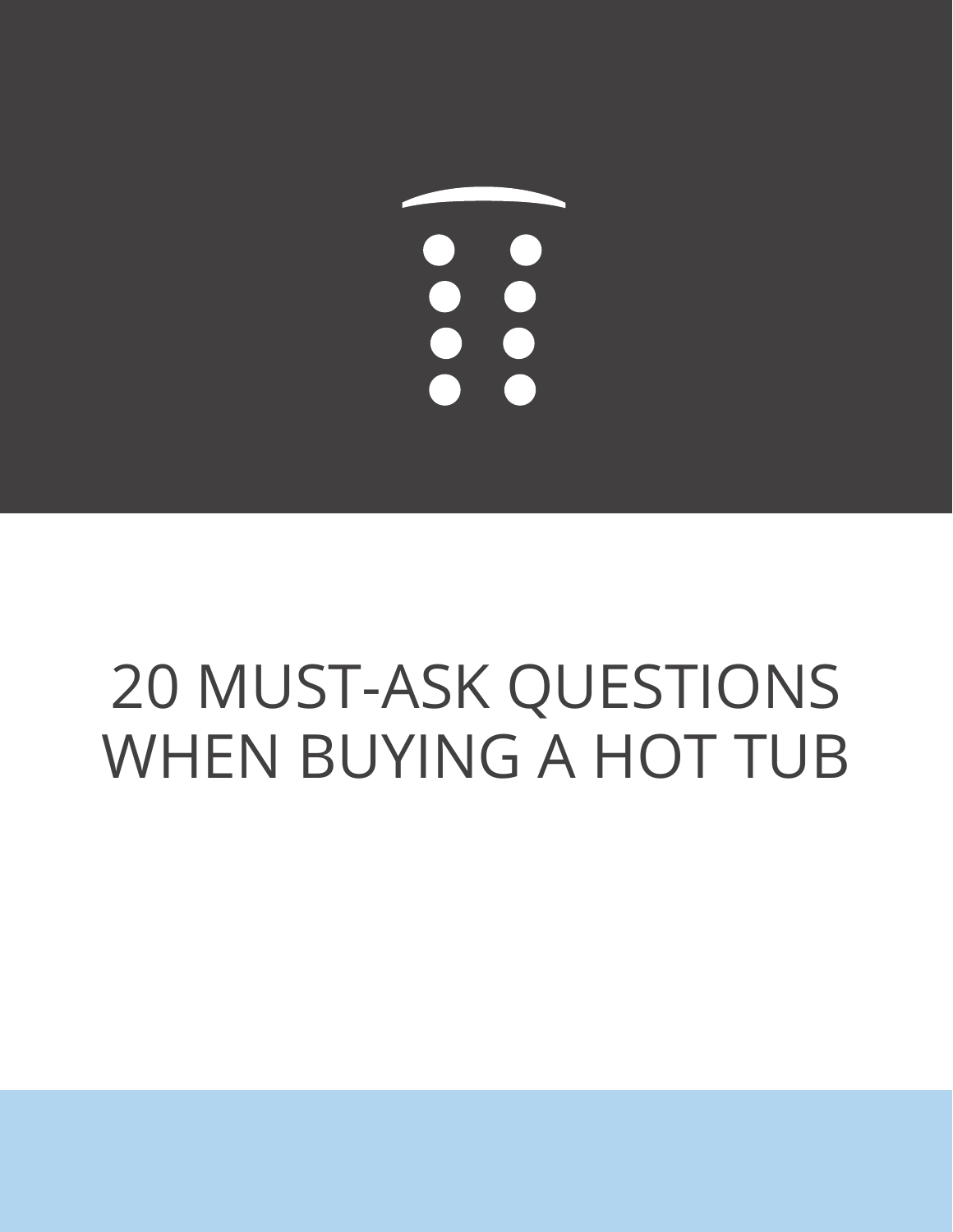# 

# 20 MUST-ASK QUESTIONS WHEN BUYING A HOT TUB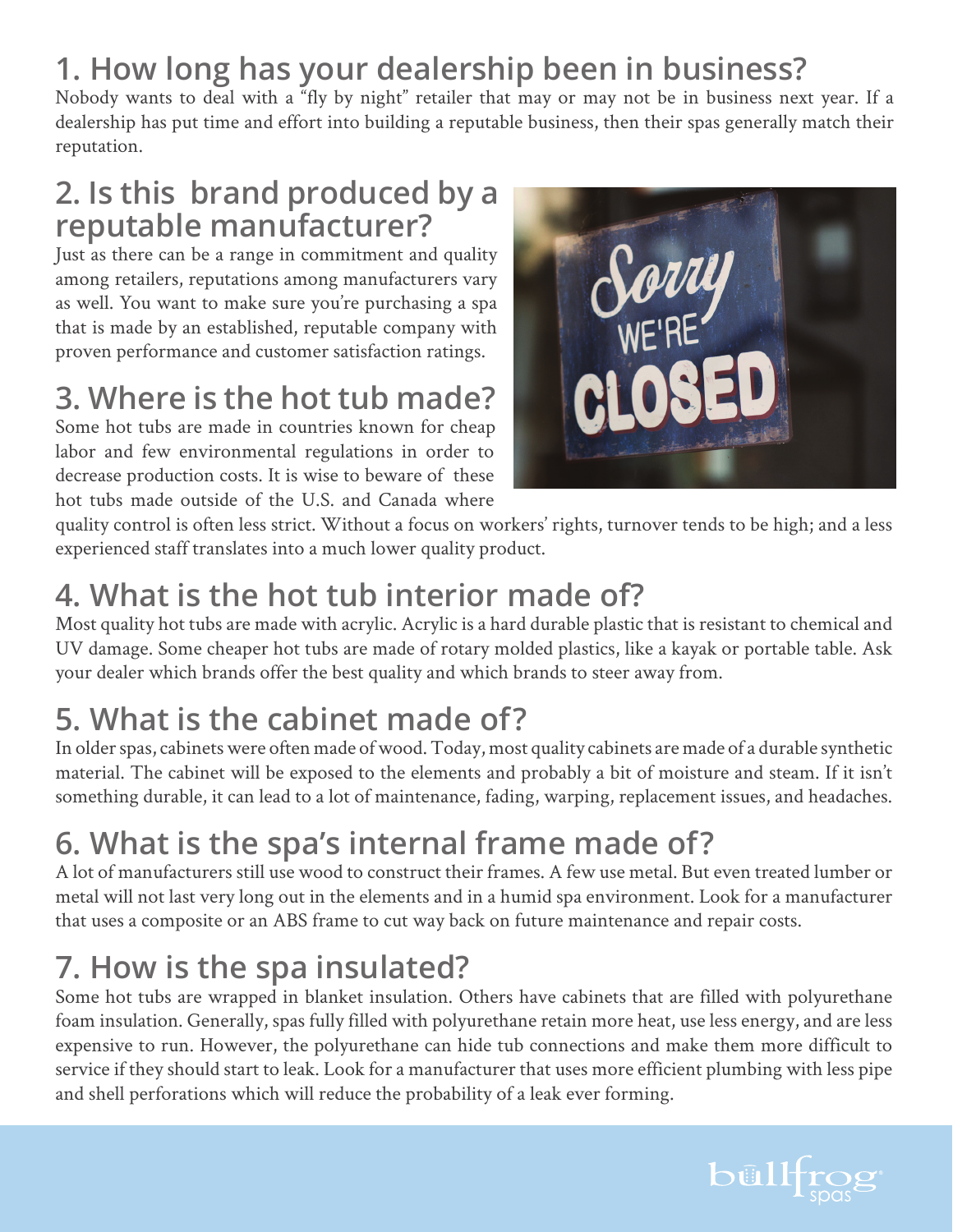# **1. How long has your dealership been in business?**

Nobody wants to deal with a "fly by night" retailer that may or may not be in business next year. If a dealership has put time and effort into building a reputable business, then their spas generally match their reputation.

### **2. Is this brand produced by a reputable manufacturer?**

Just as there can be a range in commitment and quality among retailers, reputations among manufacturers vary as well. You want to make sure you're purchasing a spa that is made by an established, reputable company with proven performance and customer satisfaction ratings.

### **3. Where is the hot tub made?**

Some hot tubs are made in countries known for cheap labor and few environmental regulations in order to decrease production costs. It is wise to beware of these hot tubs made outside of the U.S. and Canada where



quality control is often less strict. Without a focus on workers' rights, turnover tends to be high; and a less experienced staff translates into a much lower quality product.

# **4. What is the hot tub interior made of?**

Most quality hot tubs are made with acrylic. Acrylic is a hard durable plastic that is resistant to chemical and UV damage. Some cheaper hot tubs are made of rotary molded plastics, like a kayak or portable table. Ask your dealer which brands offer the best quality and which brands to steer away from.

# **5. What is the cabinet made of?**

In older spas, cabinets were often made of wood. Today, most quality cabinets are made of a durable synthetic material. The cabinet will be exposed to the elements and probably a bit of moisture and steam. If it isn't something durable, it can lead to a lot of maintenance, fading, warping, replacement issues, and headaches.

# **6. What is the spa's internal frame made of?**

A lot of manufacturers still use wood to construct their frames. A few use metal. But even treated lumber or metal will not last very long out in the elements and in a humid spa environment. Look for a manufacturer that uses a composite or an ABS frame to cut way back on future maintenance and repair costs.

# **7. How is the spa insulated?**

Some hot tubs are wrapped in blanket insulation. Others have cabinets that are filled with polyurethane foam insulation. Generally, spas fully filled with polyurethane retain more heat, use less energy, and are less expensive to run. However, the polyurethane can hide tub connections and make them more difficult to service if they should start to leak. Look for a manufacturer that uses more efficient plumbing with less pipe and shell perforations which will reduce the probability of a leak ever forming.

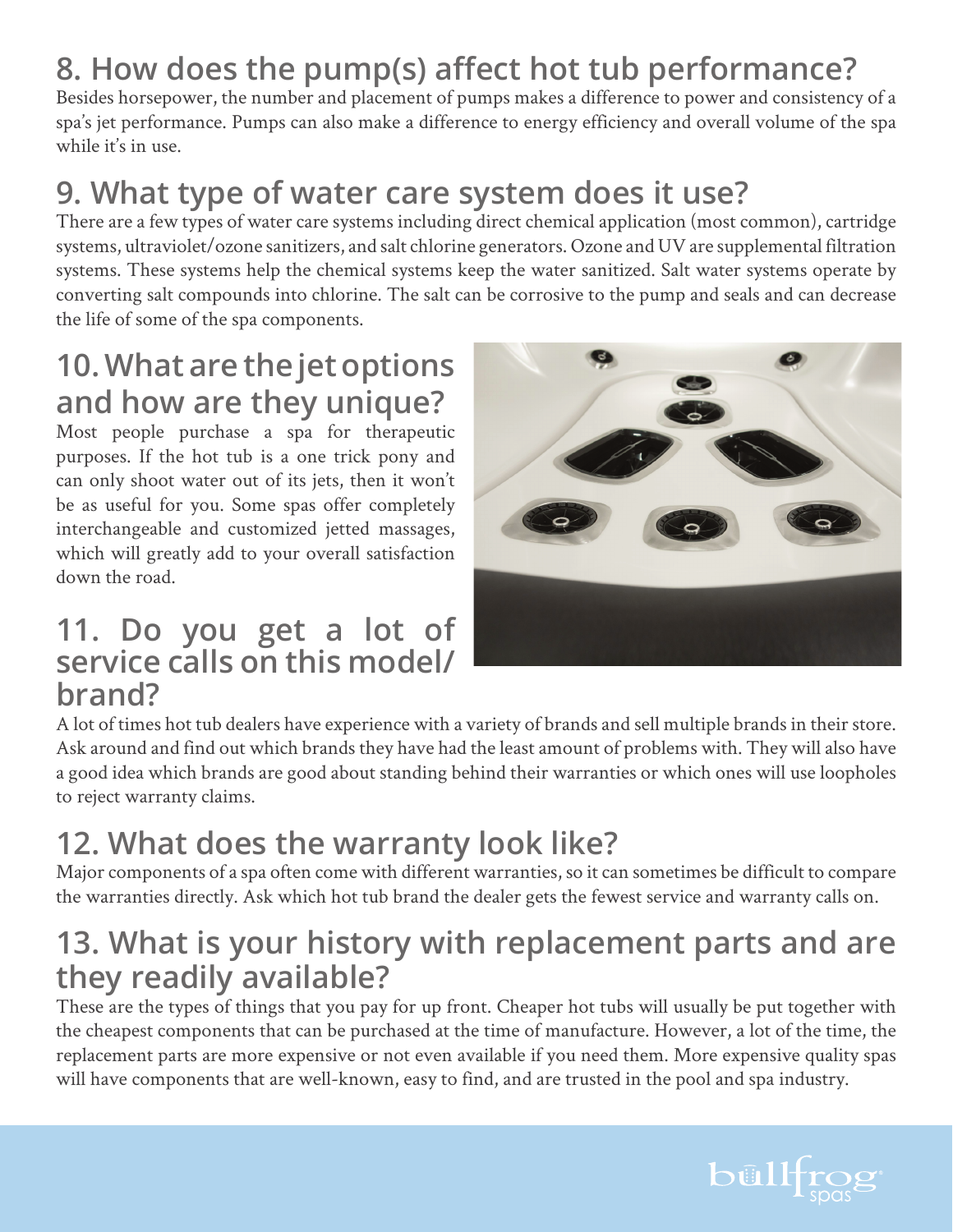# **8. How does the pump(s) affect hot tub performance?**

Besides horsepower, the number and placement of pumps makes a difference to power and consistency of a spa's jet performance. Pumps can also make a difference to energy efficiency and overall volume of the spa while it's in use.

# **9. What type of water care system does it use?**

There are a few types of water care systems including direct chemical application (most common), cartridge systems, ultraviolet/ozone sanitizers, and salt chlorine generators. Ozone and UV are supplemental filtration systems. These systems help the chemical systems keep the water sanitized. Salt water systems operate by converting salt compounds into chlorine. The salt can be corrosive to the pump and seals and can decrease the life of some of the spa components.

### **10. What are the jet options and how are they unique?**

Most people purchase a spa for therapeutic purposes. If the hot tub is a one trick pony and can only shoot water out of its jets, then it won't be as useful for you. Some spas offer completely interchangeable and customized jetted massages, which will greatly add to your overall satisfaction down the road.

### **11. Do you get a lot of service calls on this model/ brand?**



A lot of times hot tub dealers have experience with a variety of brands and sell multiple brands in their store. Ask around and find out which brands they have had the least amount of problems with. They will also have a good idea which brands are good about standing behind their warranties or which ones will use loopholes to reject warranty claims.

# **12. What does the warranty look like?**

Major components of a spa often come with different warranties, so it can sometimes be difficult to compare the warranties directly. Ask which hot tub brand the dealer gets the fewest service and warranty calls on.

### **13. What is your history with replacement parts and are they readily available?**

These are the types of things that you pay for up front. Cheaper hot tubs will usually be put together with the cheapest components that can be purchased at the time of manufacture. However, a lot of the time, the replacement parts are more expensive or not even available if you need them. More expensive quality spas will have components that are well-known, easy to find, and are trusted in the pool and spa industry.

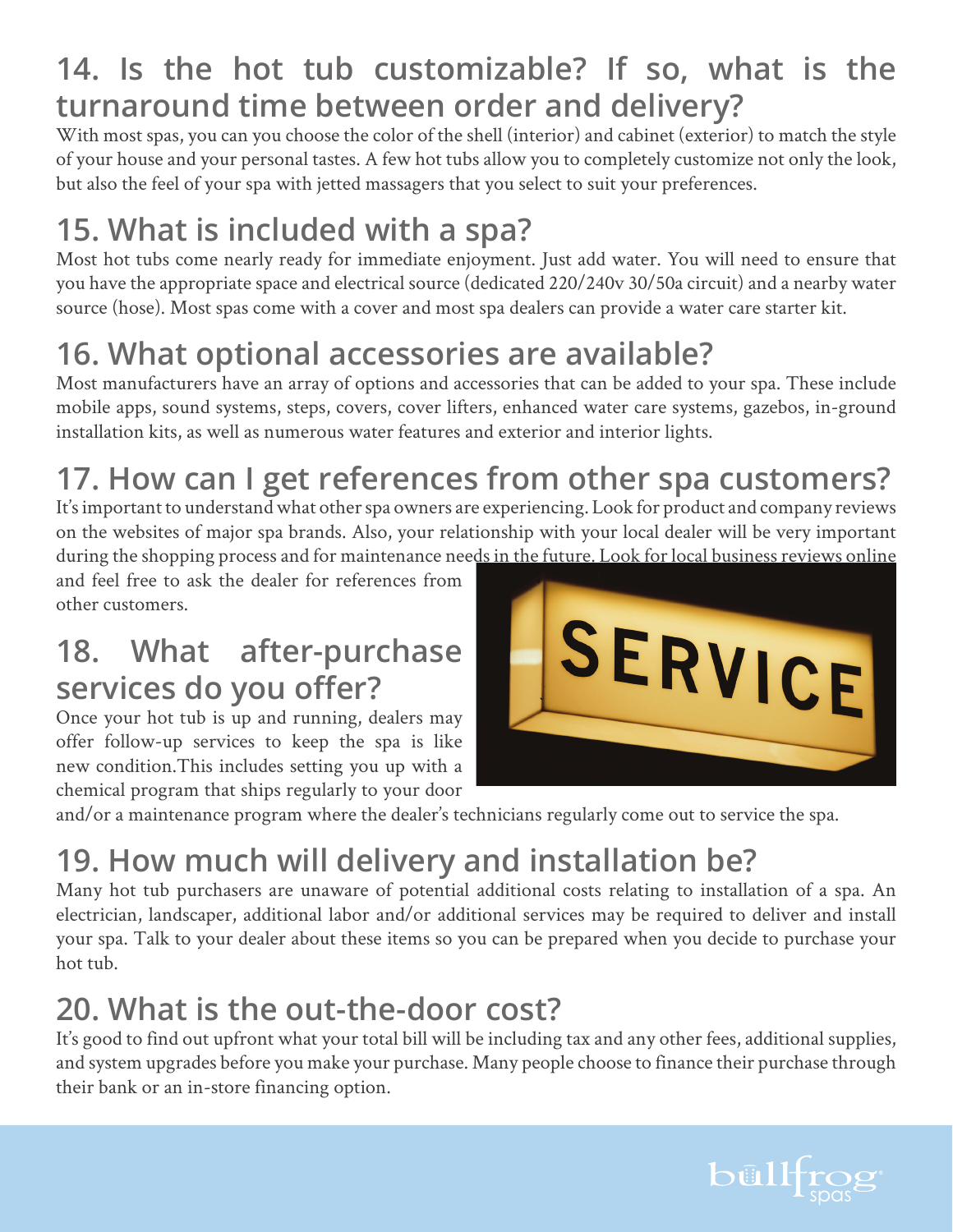# **14. Is the hot tub customizable? If so, what is the turnaround time between order and delivery?**

With most spas, you can you choose the color of the shell (interior) and cabinet (exterior) to match the style of your house and your personal tastes. A few hot tubs allow you to completely customize not only the look, but also the feel of your spa with jetted massagers that you select to suit your preferences.

# **15. What is included with a spa?**

Most hot tubs come nearly ready for immediate enjoyment. Just add water. You will need to ensure that you have the appropriate space and electrical source (dedicated 220/240v 30/50a circuit) and a nearby water source (hose). Most spas come with a cover and most spa dealers can provide a water care starter kit.

# **16. What optional accessories are available?**

Most manufacturers have an array of options and accessories that can be added to your spa. These include mobile apps, sound systems, steps, covers, cover lifters, enhanced water care systems, gazebos, in-ground installation kits, as well as numerous water features and exterior and interior lights.

# **17. How can I get references from other spa customers?**

It's important to understand what other spa owners are experiencing. Look for product and company reviews on the websites of major spa brands. Also, your relationship with your local dealer will be very important during the shopping process and for maintenance needs in the future. Look for local business reviews online

and feel free to ask the dealer for references from other customers.

### **18. What after-purchase services do you offer?**

Once your hot tub is up and running, dealers may offer follow-up services to keep the spa is like new condition.This includes setting you up with a chemical program that ships regularly to your door



and/or a maintenance program where the dealer's technicians regularly come out to service the spa.

# **19. How much will delivery and installation be?**

Many hot tub purchasers are unaware of potential additional costs relating to installation of a spa. An electrician, landscaper, additional labor and/or additional services may be required to deliver and install your spa. Talk to your dealer about these items so you can be prepared when you decide to purchase your hot tub.

# **20. What is the out-the-door cost?**

It's good to find out upfront what your total bill will be including tax and any other fees, additional supplies, and system upgrades before you make your purchase. Many people choose to finance their purchase through their bank or an in-store financing option.